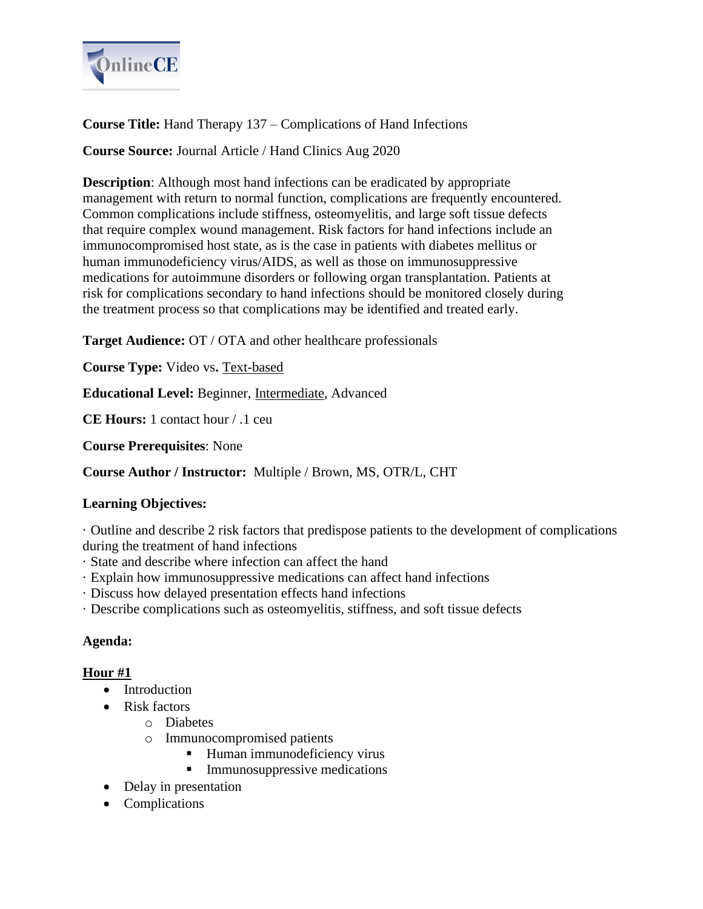

# **Course Title:** Hand Therapy 137 – Complications of Hand Infections

## **Course Source:** Journal Article / Hand Clinics Aug 2020

**Description**: Although most hand infections can be eradicated by appropriate management with return to normal function, complications are frequently encountered. Common complications include stiffness, osteomyelitis, and large soft tissue defects that require complex wound management. Risk factors for hand infections include an immunocompromised host state, as is the case in patients with diabetes mellitus or human immunodeficiency virus/AIDS, as well as those on immunosuppressive medications for autoimmune disorders or following organ transplantation. Patients at risk for complications secondary to hand infections should be monitored closely during the treatment process so that complications may be identified and treated early.

**Target Audience:** OT / OTA and other healthcare professionals

**Course Type:** Video vs**.** Text-based

**Educational Level:** Beginner, Intermediate, Advanced

**CE Hours:** 1 contact hour / .1 ceu

**Course Prerequisites**: None

**Course Author / Instructor:** Multiple / Brown, MS, OTR/L, CHT

### **Learning Objectives:**

· Outline and describe 2 risk factors that predispose patients to the development of complications during the treatment of hand infections

- · State and describe where infection can affect the hand
- · Explain how immunosuppressive medications can affect hand infections
- · Discuss how delayed presentation effects hand infections
- · Describe complications such as osteomyelitis, stiffness, and soft tissue defects

#### **Agenda:**

#### **Hour #1**

- Introduction
- Risk factors
	- o Diabetes
	- o Immunocompromised patients
		- Human immunodeficiency virus
		- **EXECUTE:** Immunosuppressive medications
- Delay in presentation
- Complications